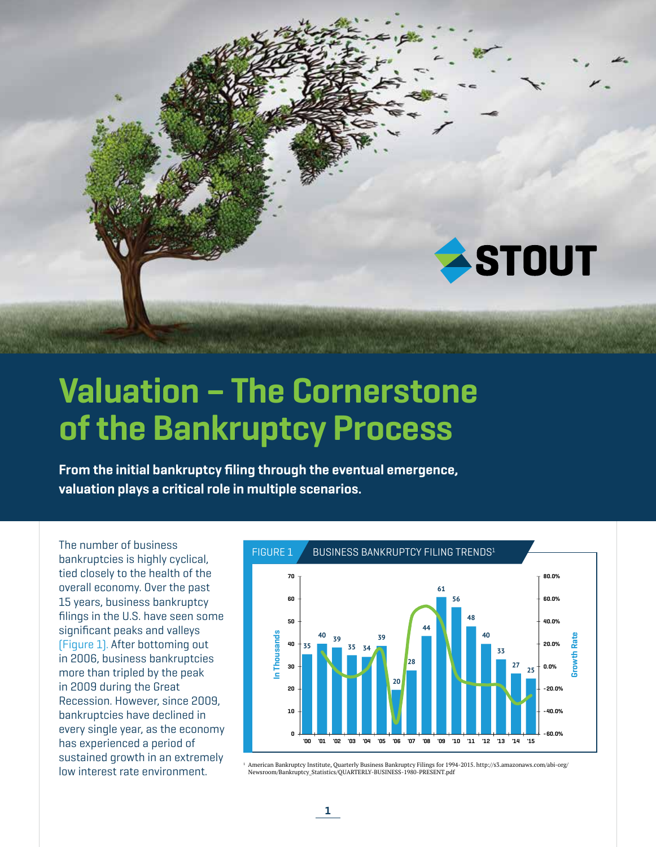

# Valuation – The Cornerstone of the Bankruptcy Process

From the initial bankruptcy filing through the eventual emergence, valuation plays a critical role in multiple scenarios.

The number of business bankruptcies is highly cyclical, tied closely to the health of the overall economy. Over the past 15 years, business bankruptcy filings in the U.S. have seen some significant peaks and valleys (Figure 1). After bottoming out in 2006, business bankruptcies more than tripled by the peak in 2009 during the Great Recession. However, since 2009, bankruptcies have declined in every single year, as the economy has experienced a period of sustained growth in an extremely low interest rate environment.



1 American Bankruptcy Institute, Quarterly Business Bankruptcy Filings for 1994-2015. http://s3.amazonaws.com/abi-org/ Newsroom/Bankruptcy\_Statistics/QUARTERLY-BUSINESS-1980-PRESENT.pdf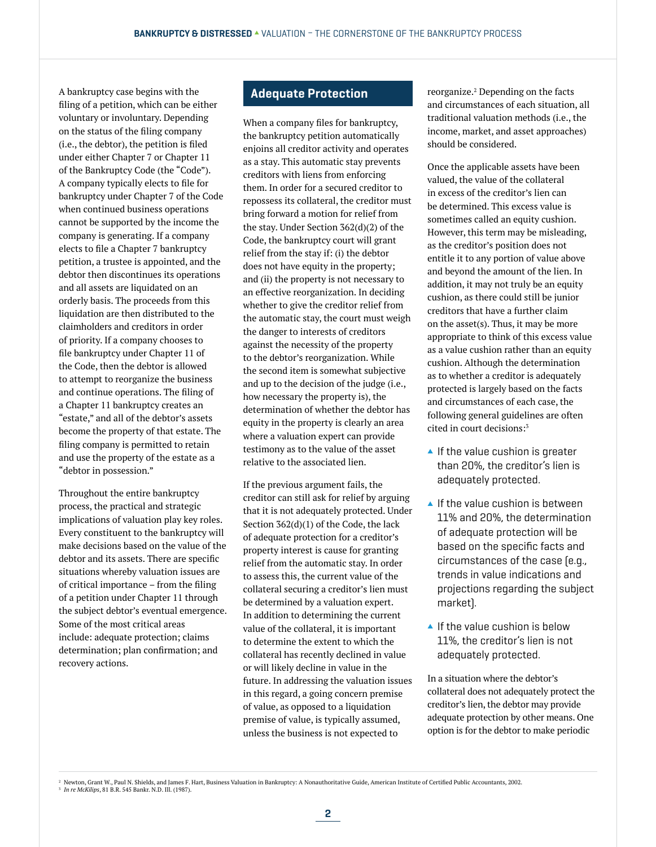A bankruptcy case begins with the filing of a petition, which can be either voluntary or involuntary. Depending on the status of the filing company (i.e., the debtor), the petition is filed under either Chapter 7 or Chapter 11 of the Bankruptcy Code (the "Code"). A company typically elects to file for bankruptcy under Chapter 7 of the Code when continued business operations cannot be supported by the income the company is generating. If a company elects to file a Chapter 7 bankruptcy petition, a trustee is appointed, and the debtor then discontinues its operations and all assets are liquidated on an orderly basis. The proceeds from this liquidation are then distributed to the claimholders and creditors in order of priority. If a company chooses to file bankruptcy under Chapter 11 of the Code, then the debtor is allowed to attempt to reorganize the business and continue operations. The filing of a Chapter 11 bankruptcy creates an "estate," and all of the debtor's assets become the property of that estate. The filing company is permitted to retain and use the property of the estate as a "debtor in possession."

Throughout the entire bankruptcy process, the practical and strategic implications of valuation play key roles. Every constituent to the bankruptcy will make decisions based on the value of the debtor and its assets. There are specific situations whereby valuation issues are of critical importance – from the filing of a petition under Chapter 11 through the subject debtor's eventual emergence. Some of the most critical areas include: adequate protection; claims determination; plan confirmation; and recovery actions.

#### Adequate Protection

When a company files for bankruptcy, the bankruptcy petition automatically enjoins all creditor activity and operates as a stay. This automatic stay prevents creditors with liens from enforcing them. In order for a secured creditor to repossess its collateral, the creditor must bring forward a motion for relief from the stay. Under Section 362(d)(2) of the Code, the bankruptcy court will grant relief from the stay if: (i) the debtor does not have equity in the property; and (ii) the property is not necessary to an effective reorganization. In deciding whether to give the creditor relief from the automatic stay, the court must weigh the danger to interests of creditors against the necessity of the property to the debtor's reorganization. While the second item is somewhat subjective and up to the decision of the judge (i.e., how necessary the property is), the determination of whether the debtor has equity in the property is clearly an area where a valuation expert can provide testimony as to the value of the asset relative to the associated lien.

If the previous argument fails, the creditor can still ask for relief by arguing that it is not adequately protected. Under Section 362(d)(1) of the Code, the lack of adequate protection for a creditor's property interest is cause for granting relief from the automatic stay. In order to assess this, the current value of the collateral securing a creditor's lien must be determined by a valuation expert. In addition to determining the current value of the collateral, it is important to determine the extent to which the collateral has recently declined in value or will likely decline in value in the future. In addressing the valuation issues in this regard, a going concern premise of value, as opposed to a liquidation premise of value, is typically assumed, unless the business is not expected to

reorganize.2 Depending on the facts and circumstances of each situation, all traditional valuation methods (i.e., the income, market, and asset approaches) should be considered.

Once the applicable assets have been valued, the value of the collateral in excess of the creditor's lien can be determined. This excess value is sometimes called an equity cushion. However, this term may be misleading, as the creditor's position does not entitle it to any portion of value above and beyond the amount of the lien. In addition, it may not truly be an equity cushion, as there could still be junior creditors that have a further claim on the asset(s). Thus, it may be more appropriate to think of this excess value as a value cushion rather than an equity cushion. Although the determination as to whether a creditor is adequately protected is largely based on the facts and circumstances of each case, the following general guidelines are often cited in court decisions:3

- $\blacktriangle$  If the value cushion is greater than 20%, the creditor's lien is adequately protected.
- $\blacktriangle$  If the value cushion is between 11% and 20%, the determination of adequate protection will be based on the specific facts and circumstances of the case (e.g., trends in value indications and projections regarding the subject market).
- $\blacktriangle$  If the value cushion is below 11%, the creditor's lien is not adequately protected.

In a situation where the debtor's collateral does not adequately protect the creditor's lien, the debtor may provide adequate protection by other means. One option is for the debtor to make periodic

 $^2$  Newton, Grant W., Paul N. Shields, and James F. Hart, Business Valuation in Bankruptcy: A Nonauthoritative Guide, American Institute of Certified Public Accountants, 2002. 3 *In re McKilips*, 81 B.R. 545 Bankr. N.D. Ill. (1987).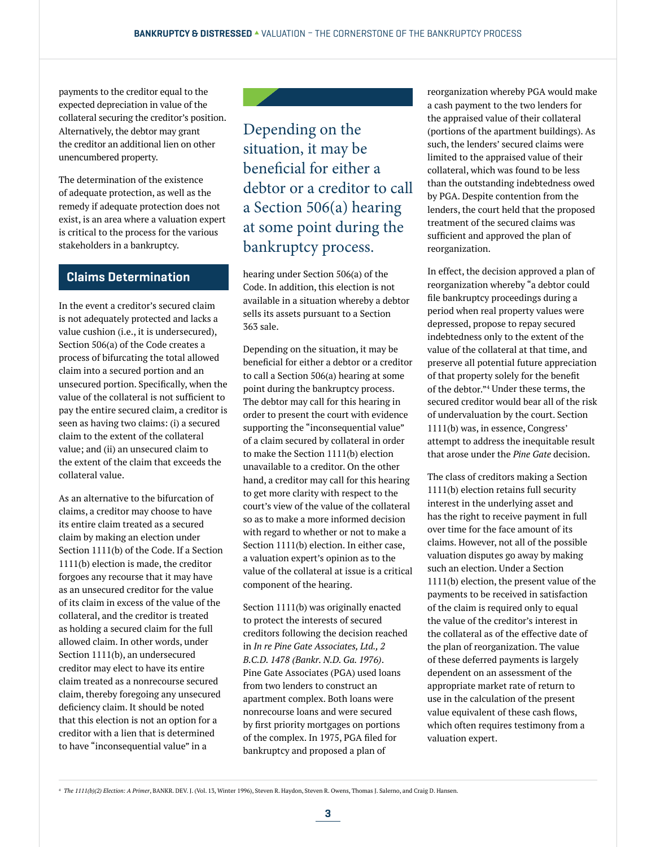payments to the creditor equal to the expected depreciation in value of the collateral securing the creditor's position. Alternatively, the debtor may grant the creditor an additional lien on other unencumbered property.

The determination of the existence of adequate protection, as well as the remedy if adequate protection does not exist, is an area where a valuation expert is critical to the process for the various stakeholders in a bankruptcy.

## Claims Determination

In the event a creditor's secured claim is not adequately protected and lacks a value cushion (i.e., it is undersecured), Section 506(a) of the Code creates a process of bifurcating the total allowed claim into a secured portion and an unsecured portion. Specifically, when the value of the collateral is not sufficient to pay the entire secured claim, a creditor is seen as having two claims: (i) a secured claim to the extent of the collateral value; and (ii) an unsecured claim to the extent of the claim that exceeds the collateral value.

As an alternative to the bifurcation of claims, a creditor may choose to have its entire claim treated as a secured claim by making an election under Section 1111(b) of the Code. If a Section 1111(b) election is made, the creditor forgoes any recourse that it may have as an unsecured creditor for the value of its claim in excess of the value of the collateral, and the creditor is treated as holding a secured claim for the full allowed claim. In other words, under Section 1111(b), an undersecured creditor may elect to have its entire claim treated as a nonrecourse secured claim, thereby foregoing any unsecured deficiency claim. It should be noted that this election is not an option for a creditor with a lien that is determined to have "inconsequential value" in a

Depending on the situation, it may be beneficial for either a debtor or a creditor to call a Section 506(a) hearing at some point during the bankruptcy process.

hearing under Section 506(a) of the Code. In addition, this election is not available in a situation whereby a debtor sells its assets pursuant to a Section 363 sale.

Depending on the situation, it may be beneficial for either a debtor or a creditor to call a Section 506(a) hearing at some point during the bankruptcy process. The debtor may call for this hearing in order to present the court with evidence supporting the "inconsequential value" of a claim secured by collateral in order to make the Section 1111(b) election unavailable to a creditor. On the other hand, a creditor may call for this hearing to get more clarity with respect to the court's view of the value of the collateral so as to make a more informed decision with regard to whether or not to make a Section 1111(b) election. In either case, a valuation expert's opinion as to the value of the collateral at issue is a critical component of the hearing.

Section 1111(b) was originally enacted to protect the interests of secured creditors following the decision reached in *In re Pine Gate Associates, Ltd., 2 B.C.D. 1478 (Bankr. N.D. Ga. 1976)*. Pine Gate Associates (PGA) used loans from two lenders to construct an apartment complex. Both loans were nonrecourse loans and were secured by first priority mortgages on portions of the complex. In 1975, PGA filed for bankruptcy and proposed a plan of

reorganization whereby PGA would make a cash payment to the two lenders for the appraised value of their collateral (portions of the apartment buildings). As such, the lenders' secured claims were limited to the appraised value of their collateral, which was found to be less than the outstanding indebtedness owed by PGA. Despite contention from the lenders, the court held that the proposed treatment of the secured claims was sufficient and approved the plan of reorganization.

In effect, the decision approved a plan of reorganization whereby "a debtor could file bankruptcy proceedings during a period when real property values were depressed, propose to repay secured indebtedness only to the extent of the value of the collateral at that time, and preserve all potential future appreciation of that property solely for the benefit of the debtor."4 Under these terms, the secured creditor would bear all of the risk of undervaluation by the court. Section 1111(b) was, in essence, Congress' attempt to address the inequitable result that arose under the *Pine Gate* decision.

The class of creditors making a Section 1111(b) election retains full security interest in the underlying asset and has the right to receive payment in full over time for the face amount of its claims. However, not all of the possible valuation disputes go away by making such an election. Under a Section 1111(b) election, the present value of the payments to be received in satisfaction of the claim is required only to equal the value of the creditor's interest in the collateral as of the effective date of the plan of reorganization. The value of these deferred payments is largely dependent on an assessment of the appropriate market rate of return to use in the calculation of the present value equivalent of these cash flows, which often requires testimony from a valuation expert.

<sup>4</sup> *The 1111(b)(2) Election: A Primer*, BANKR. DEV. J. (Vol. 13, Winter 1996), Steven R. Haydon, Steven R. Owens, Thomas J. Salerno, and Craig D. Hansen.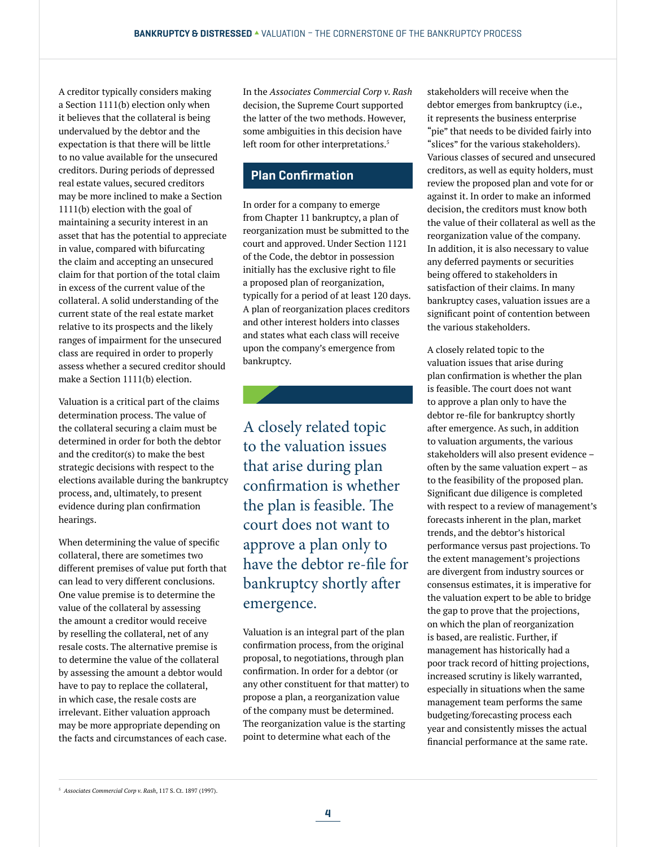A creditor typically considers making a Section 1111(b) election only when it believes that the collateral is being undervalued by the debtor and the expectation is that there will be little to no value available for the unsecured creditors. During periods of depressed real estate values, secured creditors may be more inclined to make a Section 1111(b) election with the goal of maintaining a security interest in an asset that has the potential to appreciate in value, compared with bifurcating the claim and accepting an unsecured claim for that portion of the total claim in excess of the current value of the collateral. A solid understanding of the current state of the real estate market relative to its prospects and the likely ranges of impairment for the unsecured class are required in order to properly assess whether a secured creditor should make a Section 1111(b) election.

Valuation is a critical part of the claims determination process. The value of the collateral securing a claim must be determined in order for both the debtor and the creditor(s) to make the best strategic decisions with respect to the elections available during the bankruptcy process, and, ultimately, to present evidence during plan confirmation hearings.

When determining the value of specific collateral, there are sometimes two different premises of value put forth that can lead to very different conclusions. One value premise is to determine the value of the collateral by assessing the amount a creditor would receive by reselling the collateral, net of any resale costs. The alternative premise is to determine the value of the collateral by assessing the amount a debtor would have to pay to replace the collateral, in which case, the resale costs are irrelevant. Either valuation approach may be more appropriate depending on the facts and circumstances of each case. In the *Associates Commercial Corp v. Rash* decision, the Supreme Court supported the latter of the two methods. However, some ambiguities in this decision have left room for other interpretations.<sup>5</sup>

## Plan Confirmation

In order for a company to emerge from Chapter 11 bankruptcy, a plan of reorganization must be submitted to the court and approved. Under Section 1121 of the Code, the debtor in possession initially has the exclusive right to file a proposed plan of reorganization, typically for a period of at least 120 days. A plan of reorganization places creditors and other interest holders into classes and states what each class will receive upon the company's emergence from bankruptcy.

A closely related topic to the valuation issues that arise during plan confirmation is whether the plan is feasible. The court does not want to approve a plan only to have the debtor re-file for bankruptcy shortly after emergence.

Valuation is an integral part of the plan confirmation process, from the original proposal, to negotiations, through plan confirmation. In order for a debtor (or any other constituent for that matter) to propose a plan, a reorganization value of the company must be determined. The reorganization value is the starting point to determine what each of the

stakeholders will receive when the debtor emerges from bankruptcy (i.e., it represents the business enterprise "pie" that needs to be divided fairly into "slices" for the various stakeholders). Various classes of secured and unsecured creditors, as well as equity holders, must review the proposed plan and vote for or against it. In order to make an informed decision, the creditors must know both the value of their collateral as well as the reorganization value of the company. In addition, it is also necessary to value any deferred payments or securities being offered to stakeholders in satisfaction of their claims. In many bankruptcy cases, valuation issues are a significant point of contention between the various stakeholders.

A closely related topic to the valuation issues that arise during plan confirmation is whether the plan is feasible. The court does not want to approve a plan only to have the debtor re-file for bankruptcy shortly after emergence. As such, in addition to valuation arguments, the various stakeholders will also present evidence – often by the same valuation expert – as to the feasibility of the proposed plan. Significant due diligence is completed with respect to a review of management's forecasts inherent in the plan, market trends, and the debtor's historical performance versus past projections. To the extent management's projections are divergent from industry sources or consensus estimates, it is imperative for the valuation expert to be able to bridge the gap to prove that the projections, on which the plan of reorganization is based, are realistic. Further, if management has historically had a poor track record of hitting projections, increased scrutiny is likely warranted, especially in situations when the same management team performs the same budgeting/forecasting process each year and consistently misses the actual financial performance at the same rate.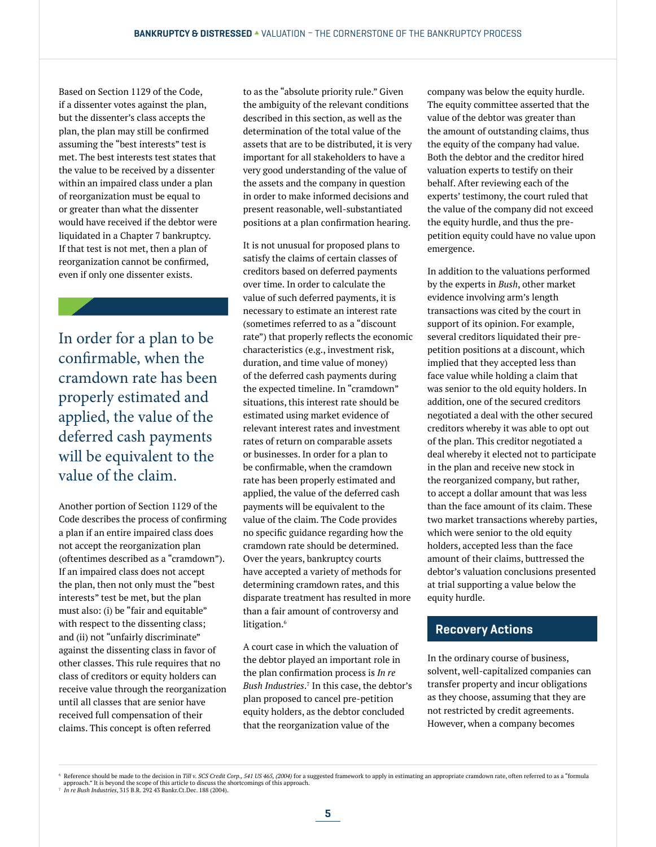Based on Section 1129 of the Code, if a dissenter votes against the plan, but the dissenter's class accepts the plan, the plan may still be confirmed assuming the "best interests" test is met. The best interests test states that the value to be received by a dissenter within an impaired class under a plan of reorganization must be equal to or greater than what the dissenter would have received if the debtor were liquidated in a Chapter 7 bankruptcy. If that test is not met, then a plan of reorganization cannot be confirmed, even if only one dissenter exists.

In order for a plan to be confirmable, when the cramdown rate has been properly estimated and applied, the value of the deferred cash payments will be equivalent to the value of the claim.

Another portion of Section 1129 of the Code describes the process of confirming a plan if an entire impaired class does not accept the reorganization plan (oftentimes described as a "cramdown"). If an impaired class does not accept the plan, then not only must the "best interests" test be met, but the plan must also: (i) be "fair and equitable" with respect to the dissenting class; and (ii) not "unfairly discriminate" against the dissenting class in favor of other classes. This rule requires that no class of creditors or equity holders can receive value through the reorganization until all classes that are senior have received full compensation of their claims. This concept is often referred

to as the "absolute priority rule." Given the ambiguity of the relevant conditions described in this section, as well as the determination of the total value of the assets that are to be distributed, it is very important for all stakeholders to have a very good understanding of the value of the assets and the company in question in order to make informed decisions and present reasonable, well-substantiated positions at a plan confirmation hearing.

It is not unusual for proposed plans to satisfy the claims of certain classes of creditors based on deferred payments over time. In order to calculate the value of such deferred payments, it is necessary to estimate an interest rate (sometimes referred to as a "discount rate") that properly reflects the economic characteristics (e.g., investment risk, duration, and time value of money) of the deferred cash payments during the expected timeline. In "cramdown" situations, this interest rate should be estimated using market evidence of relevant interest rates and investment rates of return on comparable assets or businesses. In order for a plan to be confirmable, when the cramdown rate has been properly estimated and applied, the value of the deferred cash payments will be equivalent to the value of the claim. The Code provides no specific guidance regarding how the cramdown rate should be determined. Over the years, bankruptcy courts have accepted a variety of methods for determining cramdown rates, and this disparate treatment has resulted in more than a fair amount of controversy and litigation.<sup>6</sup>

A court case in which the valuation of the debtor played an important role in the plan confirmation process is *In re Bush Industries*. 7 In this case, the debtor's plan proposed to cancel pre-petition equity holders, as the debtor concluded that the reorganization value of the

company was below the equity hurdle. The equity committee asserted that the value of the debtor was greater than the amount of outstanding claims, thus the equity of the company had value. Both the debtor and the creditor hired valuation experts to testify on their behalf. After reviewing each of the experts' testimony, the court ruled that the value of the company did not exceed the equity hurdle, and thus the prepetition equity could have no value upon emergence.

In addition to the valuations performed by the experts in *Bush*, other market evidence involving arm's length transactions was cited by the court in support of its opinion. For example, several creditors liquidated their prepetition positions at a discount, which implied that they accepted less than face value while holding a claim that was senior to the old equity holders. In addition, one of the secured creditors negotiated a deal with the other secured creditors whereby it was able to opt out of the plan. This creditor negotiated a deal whereby it elected not to participate in the plan and receive new stock in the reorganized company, but rather, to accept a dollar amount that was less than the face amount of its claim. These two market transactions whereby parties, which were senior to the old equity holders, accepted less than the face amount of their claims, buttressed the debtor's valuation conclusions presented at trial supporting a value below the equity hurdle.

## Recovery Actions

In the ordinary course of business, solvent, well-capitalized companies can transfer property and incur obligations as they choose, assuming that they are not restricted by credit agreements. However, when a company becomes

<sup>©</sup> Reference should be made to the decision in *Till v. SCS Credit Corp., 541 US 465, (2004)* for a suggested framework to apply in estimating an appropriate cramdown rate, often referred to as a "formula<br>© aproach." It is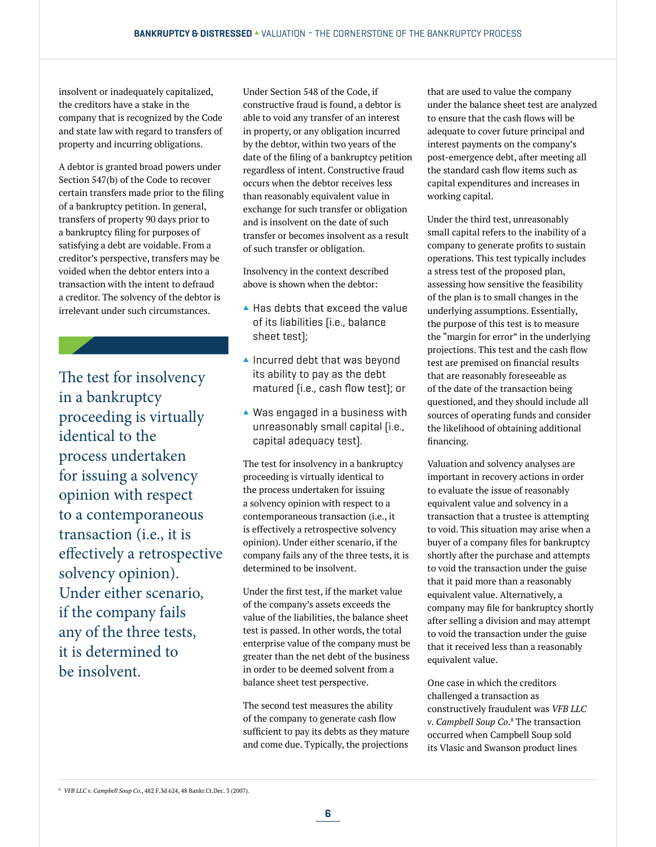insolvent or inadequately capitalized, the creditors have a stake in the company that is recognized by the Code and state law with regard to transfers of property and incurring obligations.

A debtor is granted broad powers under Section 547(b) of the Code to recover certain transfers made prior to the filing of a bankruptcy petition. In general, transfers of property 90 days prior to a bankruptcy filing for purposes of satisfying a debt are voidable. From a creditor's perspective, transfers may be voided when the debtor enters into a transaction with the intent to defraud a creditor. The solvency of the debtor is irrelevant under such circumstances.

The test for insolvency in a bankruptcy proceeding is virtually identical to the process undertaken for issuing a solvency opinion with respect to a contemporaneous transaction (i.e., it is effectively a retrospective solvency opinion). Under either scenario, if the company fails any of the three tests, it is determined to be insolvent.

Under Section 548 of the Code, if constructive fraud is found, a debtor is able to void any transfer of an interest in property, or any obligation incurred by the debtor, within two years of the date of the filing of a bankruptcy petition regardless of intent. Constructive fraud occurs when the debtor receives less than reasonably equivalent value in exchange for such transfer or obligation and is insolvent on the date of such transfer or becomes insolvent as a result of such transfer or obligation.

Insolvency in the context described above is shown when the debtor:

- $\blacktriangle$  Has debts that exceed the value of its liabilities (i.e., balance sheet test);
- $\blacktriangle$  Incurred debt that was beyond its ability to pay as the debt matured (i.e., cash flow test); or
- $\blacktriangle$  Was engaged in a business with unreasonably small capital (i.e., capital adequacy test).

The test for insolvency in a bankruptcy proceeding is virtually identical to the process undertaken for issuing a solvency opinion with respect to a contemporaneous transaction (i.e., it is effectively a retrospective solvency opinion). Under either scenario, if the company fails any of the three tests, it is determined to be insolvent.

Under the first test, if the market value of the company's assets exceeds the value of the liabilities, the balance sheet test is passed. In other words, the total enterprise value of the company must be greater than the net debt of the business in order to be deemed solvent from a balance sheet test perspective.

The second test measures the ability of the company to generate cash flow sufficient to pay its debts as they mature and come due. Typically, the projections

that are used to value the company under the balance sheet test are analyzed to ensure that the cash flows will be adequate to cover future principal and interest payments on the company's post-emergence debt, after meeting all the standard cash flow items such as capital expenditures and increases in working capital.

Under the third test, unreasonably small capital refers to the inability of a company to generate profits to sustain operations. This test typically includes a stress test of the proposed plan, assessing how sensitive the feasibility of the plan is to small changes in the underlying assumptions. Essentially, the purpose of this test is to measure the "margin for error" in the underlying projections. This test and the cash flow test are premised on financial results that are reasonably foreseeable as of the date of the transaction being questioned, and they should include all sources of operating funds and consider the likelihood of obtaining additional financing.

Valuation and solvency analyses are important in recovery actions in order to evaluate the issue of reasonably equivalent value and solvency in a transaction that a trustee is attempting to void. This situation may arise when a buyer of a company files for bankruptcy shortly after the purchase and attempts to void the transaction under the guise that it paid more than a reasonably equivalent value. Alternatively, a company may file for bankruptcy shortly after selling a division and may attempt to void the transaction under the guise that it received less than a reasonably equivalent value.

One case in which the creditors challenged a transaction as constructively fraudulent was *VFB LLC v. Campbell Soup Co*. 8 The transaction occurred when Campbell Soup sold its Vlasic and Swanson product lines

<sup>8</sup> *VFB LLC v. Campbell Soup Co.*, 482 F.3d 624, 48 Bankr.Ct.Dec. 3 (2007).